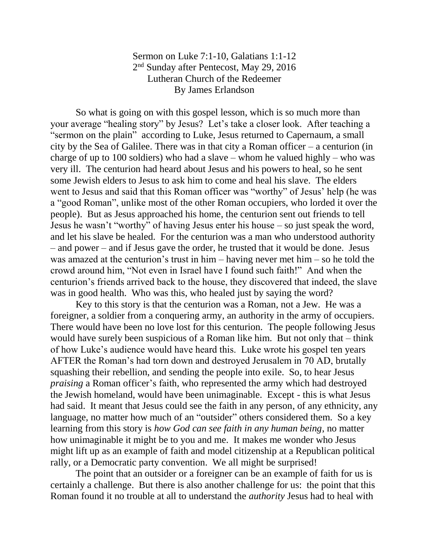## Sermon on Luke 7:1-10, Galatians 1:1-12 2<sup>nd</sup> Sunday after Pentecost, May 29, 2016 Lutheran Church of the Redeemer By James Erlandson

So what is going on with this gospel lesson, which is so much more than your average "healing story" by Jesus? Let's take a closer look. After teaching a "sermon on the plain" according to Luke, Jesus returned to Capernaum, a small city by the Sea of Galilee. There was in that city a Roman officer – a centurion (in charge of up to 100 soldiers) who had a slave – whom he valued highly – who was very ill. The centurion had heard about Jesus and his powers to heal, so he sent some Jewish elders to Jesus to ask him to come and heal his slave. The elders went to Jesus and said that this Roman officer was "worthy" of Jesus' help (he was a "good Roman", unlike most of the other Roman occupiers, who lorded it over the people). But as Jesus approached his home, the centurion sent out friends to tell Jesus he wasn't "worthy" of having Jesus enter his house – so just speak the word, and let his slave be healed. For the centurion was a man who understood authority – and power – and if Jesus gave the order, he trusted that it would be done. Jesus was amazed at the centurion's trust in him – having never met him – so he told the crowd around him, "Not even in Israel have I found such faith!" And when the centurion's friends arrived back to the house, they discovered that indeed, the slave was in good health. Who was this, who healed just by saying the word?

Key to this story is that the centurion was a Roman, not a Jew. He was a foreigner, a soldier from a conquering army, an authority in the army of occupiers. There would have been no love lost for this centurion. The people following Jesus would have surely been suspicious of a Roman like him. But not only that – think of how Luke's audience would have heard this. Luke wrote his gospel ten years AFTER the Roman's had torn down and destroyed Jerusalem in 70 AD, brutally squashing their rebellion, and sending the people into exile. So, to hear Jesus *praising* a Roman officer's faith, who represented the army which had destroyed the Jewish homeland, would have been unimaginable. Except - this is what Jesus had said. It meant that Jesus could see the faith in any person, of any ethnicity, any language, no matter how much of an "outsider" others considered them. So a key learning from this story is *how God can see faith in any human being*, no matter how unimaginable it might be to you and me. It makes me wonder who Jesus might lift up as an example of faith and model citizenship at a Republican political rally, or a Democratic party convention. We all might be surprised!

The point that an outsider or a foreigner can be an example of faith for us is certainly a challenge. But there is also another challenge for us: the point that this Roman found it no trouble at all to understand the *authority* Jesus had to heal with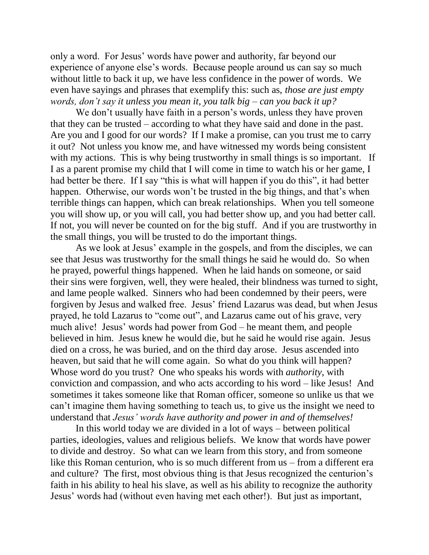only a word. For Jesus' words have power and authority, far beyond our experience of anyone else's words. Because people around us can say so much without little to back it up, we have less confidence in the power of words. We even have sayings and phrases that exemplify this: such as, *those are just empty words, don't say it unless you mean it, you talk big – can you back it up?*

We don't usually have faith in a person's words, unless they have proven that they can be trusted – according to what they have said and done in the past. Are you and I good for our words? If I make a promise, can you trust me to carry it out? Not unless you know me, and have witnessed my words being consistent with my actions. This is why being trustworthy in small things is so important. If I as a parent promise my child that I will come in time to watch his or her game, I had better be there. If I say "this is what will happen if you do this", it had better happen. Otherwise, our words won't be trusted in the big things, and that's when terrible things can happen, which can break relationships. When you tell someone you will show up, or you will call, you had better show up, and you had better call. If not, you will never be counted on for the big stuff. And if you are trustworthy in the small things, you will be trusted to do the important things.

As we look at Jesus' example in the gospels, and from the disciples, we can see that Jesus was trustworthy for the small things he said he would do. So when he prayed, powerful things happened. When he laid hands on someone, or said their sins were forgiven, well, they were healed, their blindness was turned to sight, and lame people walked. Sinners who had been condemned by their peers, were forgiven by Jesus and walked free. Jesus' friend Lazarus was dead, but when Jesus prayed, he told Lazarus to "come out", and Lazarus came out of his grave, very much alive! Jesus' words had power from God – he meant them, and people believed in him. Jesus knew he would die, but he said he would rise again. Jesus died on a cross, he was buried, and on the third day arose. Jesus ascended into heaven, but said that he will come again. So what do you think will happen? Whose word do you trust? One who speaks his words with *authority*, with conviction and compassion, and who acts according to his word – like Jesus! And sometimes it takes someone like that Roman officer, someone so unlike us that we can't imagine them having something to teach us, to give us the insight we need to understand that *Jesus' words have authority and power in and of themselves!*

In this world today we are divided in a lot of ways – between political parties, ideologies, values and religious beliefs. We know that words have power to divide and destroy. So what can we learn from this story, and from someone like this Roman centurion, who is so much different from us – from a different era and culture? The first, most obvious thing is that Jesus recognized the centurion's faith in his ability to heal his slave, as well as his ability to recognize the authority Jesus' words had (without even having met each other!). But just as important,